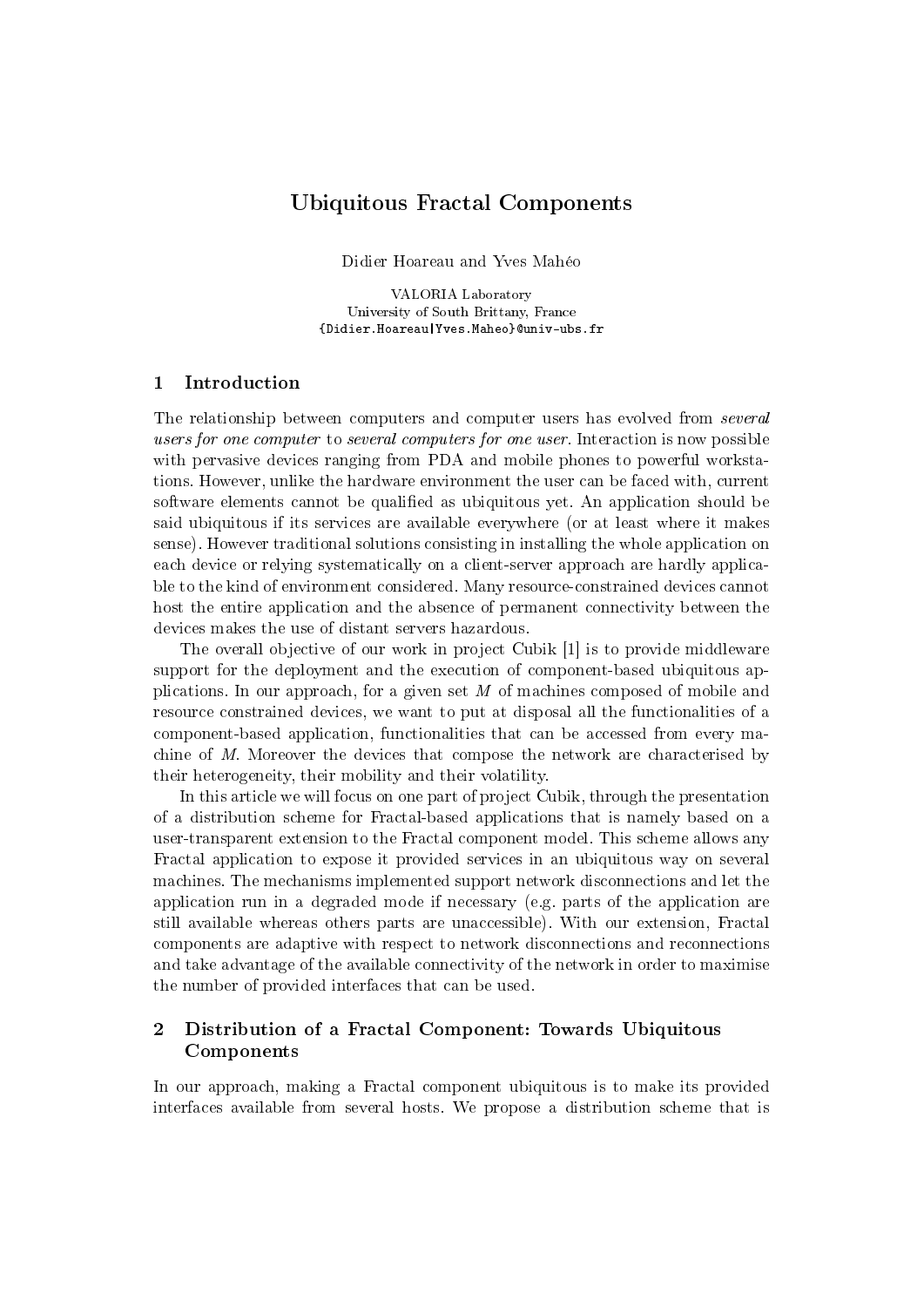# Ubiquitous Fractal Components

Didier Hoareau and Yves Mahéo

VALORIA Laboratory University of South Brittany, France {Didier.Hoareau|Yves.Maheo}@univ-ubs.fr

## 1 Introduction

The relationship between computers and computer users has evolved from several users for one computer to several computers for one user. Interaction is now possible with pervasive devices ranging from PDA and mobile phones to powerful workstations. However, unlike the hardware environment the user can be faced with, current software elements cannot be qualified as ubiquitous yet. An application should be said ubiquitous if its services are available everywhere (or at least where it makes sense). However traditional solutions consisting in installing the whole application on each device or relying systematically on a client-server approach are hardly applicable to the kind of environment considered. Many resource-constrained devices cannot host the entire application and the absence of permanent connectivity between the devices makes the use of distant servers hazardous.

The overall objective of our work in project Cubik [1] is to provide middleware support for the deployment and the execution of component-based ubiquitous applications. In our approach, for a given set M of machines composed of mobile and resource constrained devices, we want to put at disposal all the functionalities of a component-based application, functionalities that can be accessed from every machine of M. Moreover the devices that compose the network are characterised by their heterogeneity, their mobility and their volatility.

In this article we will focus on one part of project Cubik, through the presentation of a distribution scheme for Fractal-based applications that is namely based on a user-transparent extension to the Fractal component model. This scheme allows any Fractal application to expose it provided services in an ubiquitous way on several machines. The mechanisms implemented support network disconnections and let the application run in a degraded mode if necessary (e.g. parts of the application are still available whereas others parts are unaccessible). With our extension, Fractal components are adaptive with respect to network disconnections and reconnections and take advantage of the available connectivity of the network in order to maximise the number of provided interfaces that can be used.

## 2 Distribution of a Fractal Component: Towards Ubiquitous Components

In our approach, making a Fractal component ubiquitous is to make its provided interfaces available from several hosts. We propose a distribution scheme that is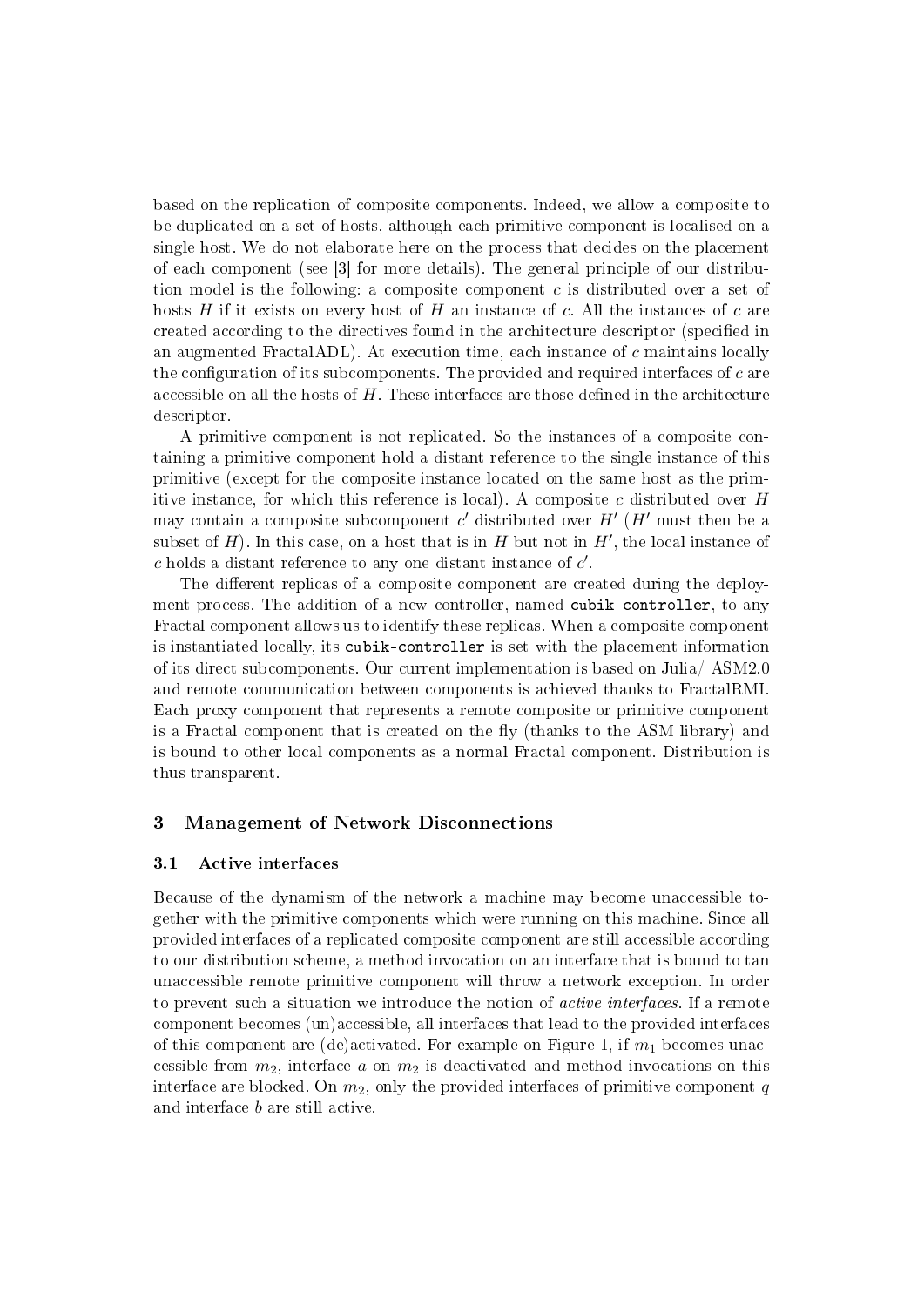based on the replication of composite components. Indeed, we allow a composite to be duplicated on a set of hosts, although each primitive component is localised on a single host. We do not elaborate here on the process that decides on the placement of each component (see [3] for more details). The general principle of our distribution model is the following: a composite component c is distributed over a set of hosts H if it exists on every host of H an instance of c. All the instances of c are created according to the directives found in the architecture descriptor (specified in an augmented FractalADL). At execution time, each instance of c maintains locally the configuration of its subcomponents. The provided and required interfaces of  $c$  are accessible on all the hosts of  $H$ . These interfaces are those defined in the architecture descriptor.

A primitive component is not replicated. So the instances of a composite containing a primitive component hold a distant reference to the single instance of this primitive (except for the composite instance located on the same host as the primitive instance, for which this reference is local). A composite  $c$  distributed over  $H$ may contain a composite subcomponent  $c'$  distributed over  $H'$  ( $H'$  must then be a subset of  $H$ ). In this case, on a host that is in  $H$  but not in  $H'$ , the local instance of c holds a distant reference to any one distant instance of  $c'$ .

The different replicas of a composite component are created during the deployment process. The addition of a new controller, named cubik-controller, to any Fractal component allows us to identify these replicas. When a composite component is instantiated locally, its cubik-controller is set with the placement information of its direct subcomponents. Our current implementation is based on Julia/ ASM2.0 and remote communication between components is achieved thanks to FractalRMI. Each proxy component that represents a remote composite or primitive component is a Fractal component that is created on the fly (thanks to the ASM library) and is bound to other local components as a normal Fractal component. Distribution is thus transparent.

## 3 Management of Network Disconnections

#### 3.1 Active interfaces

Because of the dynamism of the network a machine may become unaccessible together with the primitive components which were running on this machine. Since all provided interfaces of a replicated composite component are still accessible according to our distribution scheme, a method invocation on an interface that is bound to tan unaccessible remote primitive component will throw a network exception. In order to prevent such a situation we introduce the notion of active interfaces. If a remote component becomes (un)accessible, all interfaces that lead to the provided interfaces of this component are (de)activated. For example on Figure 1, if  $m_1$  becomes unaccessible from  $m_2$ , interface a on  $m_2$  is deactivated and method invocations on this interface are blocked. On  $m_2$ , only the provided interfaces of primitive component q and interface b are still active.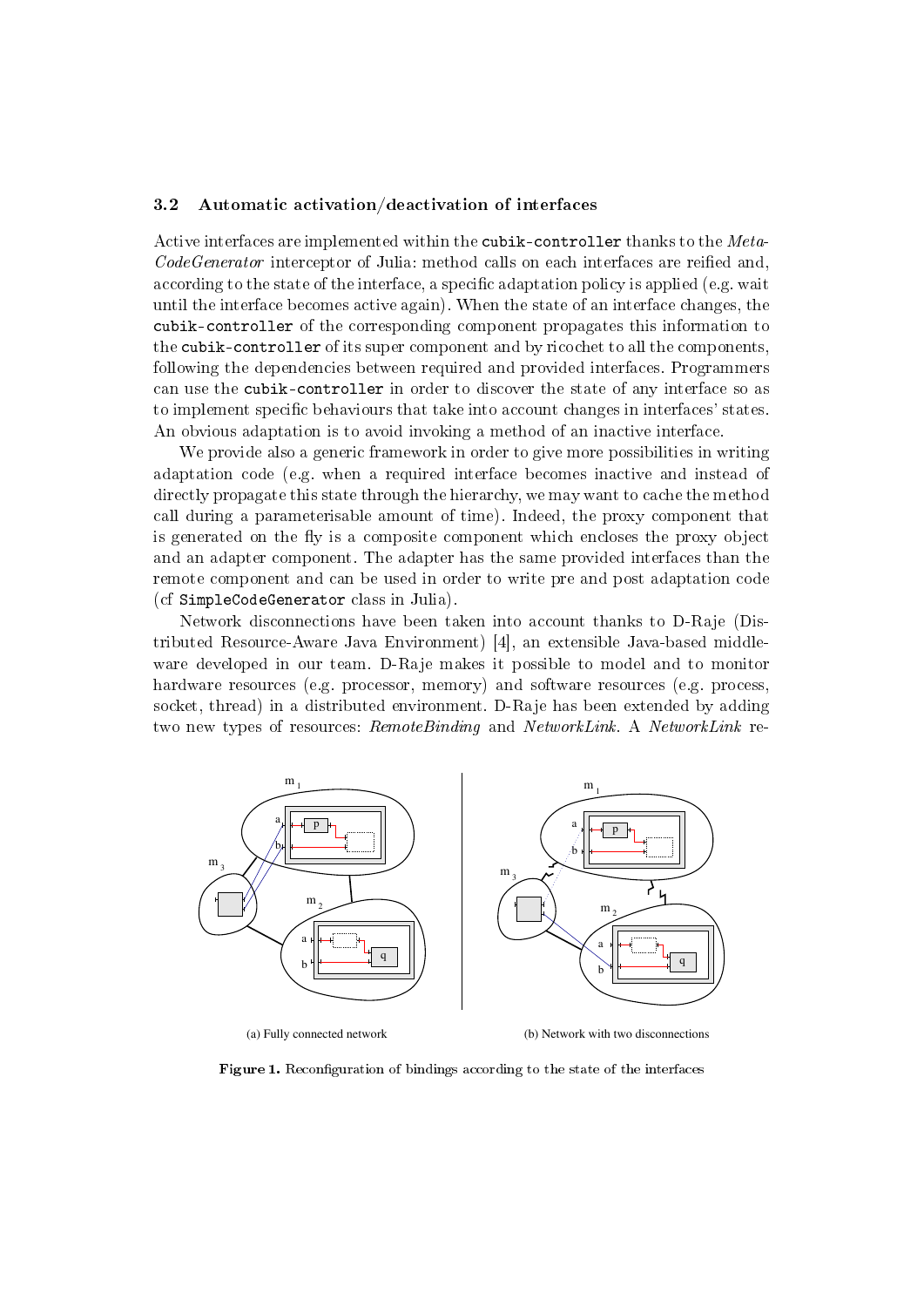#### 3.2 Automatic activation/deactivation of interfaces

Active interfaces are implemented within the cubik-controller thanks to the Meta- $CodeGenerator$  interceptor of Julia: method calls on each interfaces are reified and, according to the state of the interface, a specific adaptation policy is applied (e.g. wait until the interface becomes active again). When the state of an interface changes, the cubik-controller of the corresponding component propagates this information to the cubik-controller of its super component and by ricochet to all the components, following the dependencies between required and provided interfaces. Programmers can use the cubik-controller in order to discover the state of any interface so as to implement specific behaviours that take into account changes in interfaces' states. An obvious adaptation is to avoid invoking a method of an inactive interface.

We provide also a generic framework in order to give more possibilities in writing adaptation code (e.g. when a required interface becomes inactive and instead of directly propagate this state through the hierarchy, we may want to cache the method call during a parameterisable amount of time). Indeed, the proxy component that is generated on the fly is a composite component which encloses the proxy object and an adapter component. The adapter has the same provided interfaces than the remote component and can be used in order to write pre and post adaptation code (cf SimpleCodeGenerator class in Julia).

Network disconnections have been taken into account thanks to D-Raje (Distributed Resource-Aware Java Environment) [4], an extensible Java-based middleware developed in our team. D-Raje makes it possible to model and to monitor hardware resources (e.g. processor, memory) and software resources (e.g. process, socket, thread) in a distributed environment. D-Raje has been extended by adding two new types of resources: RemoteBinding and NetworkLink. A NetworkLink re-



(a) Fully connected network (b) Network with two disconnections

Figure 1. Reconfiguration of bindings according to the state of the interfaces